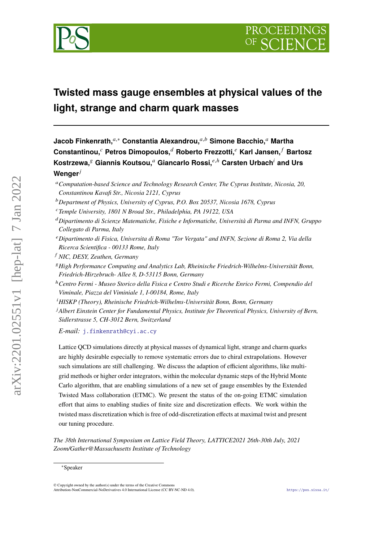

# **Twisted mass gauge ensembles at physical values of the light, strange and charm quark masses**

**Jacob Finkenrath,**<sup>*a*,∗</sup> Constantia Alexandrou,<sup>*a,b*</sup> Simone Bacchio,<sup>*a*</sup> Martha **Constantinou, Petros Dimopoulos, Roberto Frezzotti, Karl Jansen, Bartosz**  $K$ ostrzewa, $^g$  Giannis Koutsou,<sup>a</sup> Giancarlo Rossi, $^{e,h}$  Carsten Urbach<sup>i</sup> and Urs **Wenger**

*Computation-based Science and Technology Research Center, The Cyprus Institute, Nicosia, 20, Constantinou Kavafi Str., Nicosia 2121, Cyprus*

- *Department of Physics, University of Cyprus, P.O. Box 20537, Nicosia 1678, Cyprus*
- *Temple University, 1801 N Broad Str., Philadelphia, PA 19122, USA*
- *Dipartimento di Scienze Matematiche, Fisiche e Informatiche, Università di Parma and INFN, Gruppo Collegato di Parma, Italy*
- *Dipartimento di Fisica, Universita di Roma "Tor Vergata" and INFN, Sezione di Roma 2, Via della Ricerca Scientifica - 00133 Rome, Italy*
- *NIC, DESY, Zeuthen, Germany*
- *High Performance Computing and Analytics Lab, Rheinische Friedrich-Wilhelms-Universität Bonn, Friedrich-Hirzebruch- Allee 8, D-53115 Bonn, Germany*

<sup>ℎ</sup>*Centro Fermi - Museo Storico della Fisica e Centro Studi e Ricerche Enrico Fermi, Compendio del Viminale, Piazza del Viminiale 1, I-00184, Rome, Italy*

*HISKP (Theory), Rheinische Friedrich-Wilhelms-Universität Bonn, Bonn, Germany*

*Albert Einstein Center for Fundamental Physics, Institute for Theoretical Physics, University of Bern, Sidlerstrasse 5, CH-3012 Bern, Switzerland*

*E-mail:* [j.finkenrath@cyi.ac.cy](mailto:j.finkenrath@cyi.ac.cy)

Lattice QCD simulations directly at physical masses of dynamical light, strange and charm quarks are highly desirable especially to remove systematic errors due to chiral extrapolations. However such simulations are still challenging. We discuss the adaption of efficient algorithms, like multigrid methods or higher order integrators, within the molecular dynamic steps of the Hybrid Monte Carlo algorithm, that are enabling simulations of a new set of gauge ensembles by the Extended Twisted Mass collaboration (ETMC). We present the status of the on-going ETMC simulation effort that aims to enabling studies of finite size and discretization effects. We work within the twisted mass discretization which is free of odd-discretization effects at maximal twist and present our tuning procedure.

*The 38th International Symposium on Lattice Field Theory, LATTICE2021 26th-30th July, 2021 Zoom/Gather@Massachusetts Institute of Technology*

<sup>∗</sup>Speaker

<sup>©</sup> Copyright owned by the author(s) under the terms of the Creative Commons Attribution-NonCommercial-NoDerivatives 4.0 International License (CC BY-NC-ND 4.0). <https://pos.sissa.it/>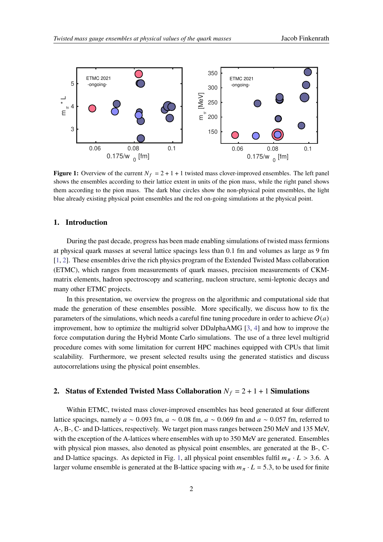<span id="page-1-0"></span>

**Figure 1:** Overview of the current  $N_f = 2 + 1 + 1$  twisted mass clover-improved ensembles. The left panel shows the ensembles according to their lattice extent in units of the pion mass, while the right panel shows them according to the pion mass. The dark blue circles show the non-physical point ensembles, the light blue already existing physical point ensembles and the red on-going simulations at the physical point.

# **1. Introduction**

During the past decade, progress has been made enabling simulations of twisted mass fermions at physical quark masses at several lattice spacings less than 0.1 fm and volumes as large as 9 fm [\[1,](#page-9-0) [2\]](#page-9-1). These ensembles drive the rich physics program of the Extended Twisted Mass collaboration (ETMC), which ranges from measurements of quark masses, precision measurements of CKMmatrix elements, hadron spectroscopy and scattering, nucleon structure, semi-leptonic decays and many other ETMC projects.

In this presentation, we overview the progress on the algorithmic and computational side that made the generation of these ensembles possible. More specifically, we discuss how to fix the parameters of the simulations, which needs a careful fine tuning procedure in order to achieve  $O(a)$ improvement, how to optimize the multigrid solver DDalphaAMG [\[3,](#page-10-0) [4\]](#page-10-1) and how to improve the force computation during the Hybrid Monte Carlo simulations. The use of a three level multigrid procedure comes with some limitation for current HPC machines equipped with CPUs that limit scalability. Furthermore, we present selected results using the generated statistics and discuss autocorrelations using the physical point ensembles.

# **2.** Status of Extended Twisted Mass Collaboration  $N_f = 2 + 1 + 1$  Simulations

Within ETMC, twisted mass clover-improved ensembles has beed generated at four different lattice spacings, namely  $a \sim 0.093$  fm,  $a \sim 0.08$  fm,  $a \sim 0.069$  fm and  $a \sim 0.057$  fm, referred to A-, B-, C- and D-lattices, respectively. We target pion mass ranges between 250 MeV and 135 MeV, with the exception of the A-lattices where ensembles with up to 350 MeV are generated. Ensembles with physical pion masses, also denoted as physical point ensembles, are generated at the B-, C-and D-lattice spacings. As depicted in Fig. [1,](#page-1-0) all physical point ensembles fulfil  $m_{\pi} \cdot L > 3.6$ . A larger volume ensemble is generated at the B-lattice spacing with  $m_{\pi} \cdot L = 5.3$ , to be used for finite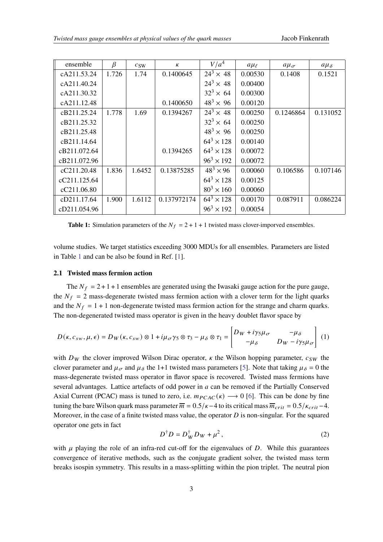<span id="page-2-0"></span>

| ensemble     | $\beta$ | c <sub>SW</sub> | $\kappa$    | V/a <sup>4</sup>    | $a\mu_{\ell}$ | $a\mu_{\sigma}$ | $a\mu_{\delta}$ |
|--------------|---------|-----------------|-------------|---------------------|---------------|-----------------|-----------------|
| cA211.53.24  | 1.726   | 1.74            | 0.1400645   | $24^3 \times 48$    | 0.00530       | 0.1408          | 0.1521          |
| cA211.40.24  |         |                 |             | $24^3 \times 48$    | 0.00400       |                 |                 |
| cA211.30.32  |         |                 |             | $32^3 \times 64$    | 0.00300       |                 |                 |
| cA211.12.48  |         |                 | 0.1400650   | $48^3 \times 96$    | 0.00120       |                 |                 |
| cB211.25.24  | 1.778   | 1.69            | 0.1394267   | $24^3 \times 48$    | 0.00250       | 0.1246864       | 0.131052        |
| cB211.25.32  |         |                 |             | $32^3 \times 64$    | 0.00250       |                 |                 |
| cB211.25.48  |         |                 |             | $48^3 \times 96$    | 0.00250       |                 |                 |
| cB211.14.64  |         |                 |             | $64^3 \times 128$   | 0.00140       |                 |                 |
| cB211.072.64 |         |                 | 0.1394265   | $64^3 \times 128$   | 0.00072       |                 |                 |
| cB211.072.96 |         |                 |             | $96^3 \times 192$   | 0.00072       |                 |                 |
| cC211.20.48  | 1.836   | 1.6452          | 0.13875285  | $48^3 \times 96$    | 0.00060       | 0.106586        | 0.107146        |
| cC211.125.64 |         |                 |             | $64^3 \times 128$   | 0.00125       |                 |                 |
| cC211.06.80  |         |                 |             | $80^{3} \times 160$ | 0.00060       |                 |                 |
| cD211.17.64  | 1.900   | 1.6112          | 0.137972174 | $64^3 \times 128$   | 0.00170       | 0.087911        | 0.086224        |
| cD211.054.96 |         |                 |             | $96^3 \times 192$   | 0.00054       |                 |                 |

**Table 1:** Simulation parameters of the  $N_f = 2 + 1 + 1$  twisted mass clover-imporved ensembles.

volume studies. We target statistics exceeding 3000 MDUs for all ensembles. Parameters are listed in Table [1](#page-2-0) and can be also be found in Ref. [\[1\]](#page-9-0).

### **2.1 Twisted mass fermion action**

The  $N_f = 2 + 1 + 1$  ensembles are generated using the Iwasaki gauge action for the pure gauge, the  $N_f = 2$  mass-degenerate twisted mass fermion action with a clover term for the light quarks and the  $N_f = 1 + 1$  non-degenerate twisted mass fermion action for the strange and charm quarks. The non-degenerated twisted mass operator is given in the heavy doublet flavor space by

<span id="page-2-1"></span>
$$
D(\kappa, c_{sw}, \mu, \epsilon) = D_W(\kappa, c_{sw}) \otimes 1 + i\mu_{\sigma} \gamma_5 \otimes \tau_3 - \mu_{\delta} \otimes \tau_1 = \begin{bmatrix} D_W + i\gamma_5 \mu_{\sigma} & -\mu_{\delta} \\ -\mu_{\delta} & D_W - i\gamma_5 \mu_{\sigma} \end{bmatrix} (1)
$$

with  $D_W$  the clover improved Wilson Dirac operator,  $\kappa$  the Wilson hopping parameter,  $c_{SW}$  the clover parameter and  $\mu_{\sigma}$  and  $\mu_{\delta}$  the 1+1 twisted mass parameters [\[5\]](#page-10-2). Note that taking  $\mu_{\delta} = 0$  the mass-degenerate twisted mass operator in flavor space is recovered. Twisted mass fermions have several advantages. Lattice artefacts of odd power in  $a$  can be removed if the Partially Conserved Axial Current (PCAC) mass is tuned to zero, i.e.  $m_{PCAC}(\kappa) \rightarrow 0$  [\[6\]](#page-10-3). This can be done by fine tuning the bare Wilson quark mass parameter  $\overline{m} = 0.5/\kappa - 4$  to its critical mass  $\overline{m}_{crit} = 0.5/\kappa_{crit} - 4$ . Moreover, in the case of a finite twisted mass value, the operator  $D$  is non-singular. For the squared operator one gets in fact

$$
D^{\dagger} D = D_W^{\dagger} D_W + \mu^2, \qquad (2)
$$

with  $\mu$  playing the role of an infra-red cut-off for the eigenvalues of D. While this guarantees convergence of iterative methods, such as the conjugate gradient solver, the twisted mass term breaks isospin symmetry. This results in a mass-splitting within the pion triplet. The neutral pion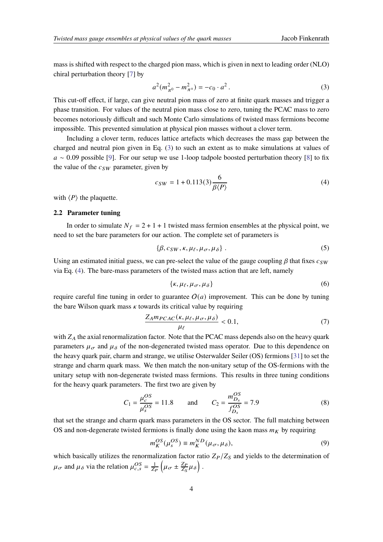mass is shifted with respect to the charged pion mass, which is given in next to leading order (NLO) chiral perturbation theory [\[7\]](#page-10-4) by

<span id="page-3-0"></span>
$$
a^{2}(m_{\pi^{0}}^{2} - m_{\pi^{+}}^{2}) = -c_{0} \cdot a^{2}. \qquad (3)
$$

This cut-off effect, if large, can give neutral pion mass of zero at finite quark masses and trigger a phase transition. For values of the neutral pion mass close to zero, tuning the PCAC mass to zero becomes notoriously difficult and such Monte Carlo simulations of twisted mass fermions become impossible. This prevented simulation at physical pion masses without a clover term.

Including a clover term, reduces lattice artefacts which decreases the mass gap between the charged and neutral pion given in Eq. [\(3\)](#page-3-0) to such an extent as to make simulations at values of  $a \sim 0.09$  possible [\[9\]](#page-10-5). For our setup we use 1-loop tadpole boosted perturbation theory [\[8\]](#page-10-6) to fix the value of the  $c_{SW}$  parameter, given by

<span id="page-3-1"></span>
$$
c_{SW} = 1 + 0.113(3) \frac{6}{\beta \langle P \rangle} \tag{4}
$$

with  $\langle P \rangle$  the plaquette.

#### **2.2 Parameter tuning**

In order to simulate  $N_f = 2 + 1 + 1$  twisted mass fermion ensembles at the physical point, we need to set the bare parameters for our action. The complete set of parameters is

$$
\{\beta, c_{SW}, \kappa, \mu_{\ell}, \mu_{\sigma}, \mu_{\delta}\}.
$$
 (5)

Using an estimated initial guess, we can pre-select the value of the gauge coupling  $\beta$  that fixes  $c_{SW}$ via Eq. [\(4\)](#page-3-1). The bare-mass parameters of the twisted mass action that are left, namely

$$
\{\kappa, \mu_{\ell}, \mu_{\sigma}, \mu_{\delta}\}\tag{6}
$$

require careful fine tuning in order to guarantee  $O(a)$  improvement. This can be done by tuning the bare Wilson quark mass  $\kappa$  towards its critical value by requiring

<span id="page-3-2"></span>
$$
\frac{Z_A m_{PCAC}(\kappa, \mu_\ell, \mu_\sigma, \mu_\delta)}{\mu_\ell} < 0.1,\tag{7}
$$

with  $Z_A$  the axial renormalization factor. Note that the PCAC mass depends also on the heavy quark parameters  $\mu_{\sigma}$  and  $\mu_{\delta}$  of the non-degenerated twisted mass operator. Due to this dependence on the heavy quark pair, charm and strange, we utilise Osterwalder Seiler (OS) fermions [\[31\]](#page-11-0) to set the strange and charm quark mass. We then match the non-unitary setup of the OS-fermions with the unitary setup with non-degenerate twisted mass fermions. This results in three tuning conditions for the heavy quark parameters. The first two are given by

$$
C_1 = \frac{\mu_c^{OS}}{\mu_s^{OS}} = 11.8 \quad \text{and} \quad C_2 = \frac{m_{D_s}^{OS}}{f_{D_s}^{OS}} = 7.9 \tag{8}
$$

that set the strange and charm quark mass parameters in the OS sector. The full matching between OS and non-degenerate twisted fermions is finally done using the kaon mass  $m<sub>K</sub>$  by requiring

$$
m_K^{OS}(\mu_s^{OS}) \equiv m_K^{ND}(\mu_\sigma, \mu_\delta),\tag{9}
$$

which basically utilizes the renormalization factor ratio  $Z_P/Z_S$  and yields to the determination of  $\mu_{\sigma}$  and  $\mu_{\delta}$  via the relation  $\mu_{c,s}^{OS} = \frac{1}{Z_P} \left( \mu_{\sigma} \pm \frac{Z_P}{Z_S} \right)$  $\frac{Z_P}{Z_S}\mu_\delta\Big)$  .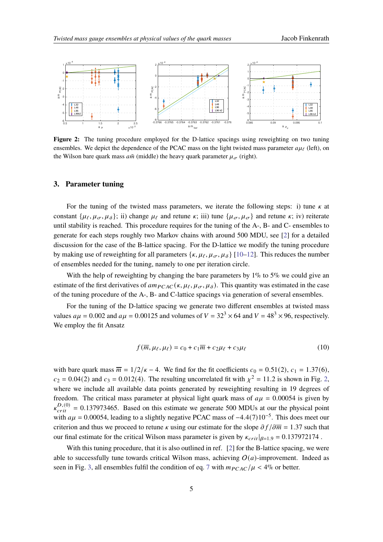<span id="page-4-0"></span>

Figure 2: The tuning procedure employed for the D-lattice spacings using reweighting on two tuning ensembles. We depict the dependence of the PCAC mass on the light twisted mass parameter  $a\mu_f$  (left), on the Wilson bare quark mass  $a\bar{m}$  (middle) the heavy quark parameter  $\mu_{\sigma}$  (right).

### **3. Parameter tuning**

For the tuning of the twisted mass parameters, we iterate the following steps: i) tune  $\kappa$  at constant  $\{\mu_{\ell}, \mu_{\sigma}, \mu_{\delta}\}$ ; ii) change  $\mu_{\ell}$  and retune  $\kappa$ ; iii) tune  $\{\mu_{\sigma}, \mu_{\sigma}\}\$  and retune  $\kappa$ ; iv) reiterate until stability is reached. This procedure requires for the tuning of the A-, B- and C- ensembles to generate for each steps roughly two Markov chains with around 500 MDU, see [\[2\]](#page-9-1) for a detailed discussion for the case of the B-lattice spacing. For the D-lattice we modify the tuning procedure by making use of reweighting for all parameters  $\{\kappa, \mu_{\ell}, \mu_{\sigma}, \mu_{\delta}\}$  [\[10–](#page-10-7)[12\]](#page-10-8). This reduces the number of ensembles needed for the tuning, namely to one per iteration circle.

With the help of reweighting by changing the bare parameters by 1% to 5% we could give an estimate of the first derivatives of  $am_{PCAC}(k, \mu_{\ell}, \mu_{\sigma}, \mu_{\delta})$ . This quantity was estimated in the case of the tuning procedure of the A-, B- and C-lattice spacings via generation of several ensembles.

For the tuning of the D-lattice spacing we generate two different ensembles at twisted mass values  $a\mu = 0.002$  and  $a\mu = 0.00125$  and volumes of  $V = 32<sup>3</sup> \times 64$  and  $V = 48<sup>3</sup> \times 96$ , respectively. We employ the fit Ansatz

$$
f(\overline{m}, \mu_{\ell}, \mu_{\ell}) = c_0 + c_1 \overline{m} + c_2 \mu_{\ell} + c_3 \mu_{\ell}
$$
 (10)

with bare quark mass  $\overline{m} = 1/2/\kappa - 4$ . We find for the fit coefficients  $c_0 = 0.51(2)$ ,  $c_1 = 1.37(6)$ ,  $c_2 = 0.04(2)$  and  $c_3 = 0.012(4)$ . The resulting uncorrelated fit with  $\chi^2 = 11.2$  is shown in Fig. [2,](#page-4-0) where we include all available data points generated by reweighting resulting in 19 degrees of freedom. The critical mass parameter at physical light quark mass of  $a\mu = 0.00054$  is given by  $k_{crit}^{D,(0)} = 0.137973465$ . Based on this estimate we generate 500 MDUs at our the physical point with  $a\mu = 0.00054$ , leading to a slightly negative PCAC mass of  $-4.4(7)10^{-5}$ . This does meet our criterion and thus we proceed to retune  $\kappa$  using our estimate for the slope  $\partial f / \partial \overline{m} = 1.37$  such that our final estimate for the critical Wilson mass parameter is given by  $\kappa_{crit}|_{\beta=1.9} = 0.137972174$ .

With this tuning procedure, that it is also outlined in ref. [\[2\]](#page-9-1) for the B-lattice spacing, we were able to successfully tune towards critical Wilson mass, achieving  $O(a)$ -improvement. Indeed as seen in Fig. [3,](#page-5-0) all ensembles fulfil the condition of eq. [7](#page-3-2) with  $m_{PCAC}/\mu < 4\%$  or better.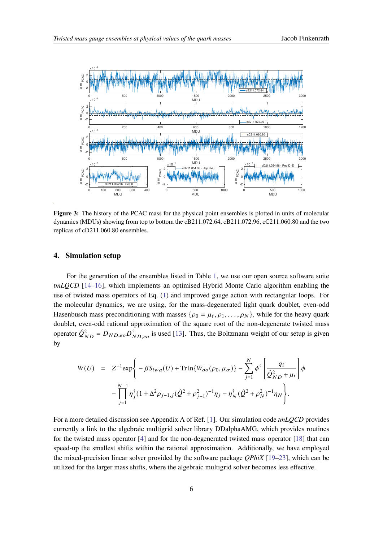<span id="page-5-0"></span>

**Figure 3:** The history of the PCAC mass for the physical point ensembles is plotted in units of molecular dynamics (MDUs) showing from top to bottom the cB211.072.64, cB211.072.96, cC211.060.80 and the two replicas of cD211.060.80 ensembles.

## **4. Simulation setup**

For the generation of the ensembles listed in Table [1,](#page-2-0) we use our open source software suite *tmLQCD* [\[14](#page-10-9)[–16\]](#page-10-10), which implements an optimised Hybrid Monte Carlo algorithm enabling the use of twisted mass operators of Eq. [\(1\)](#page-2-1) and improved gauge action with rectangular loops. For the molecular dynamics, we are using, for the mass-degenerated light quark doublet, even-odd Hasenbusch mass preconditioning with masses  $\{\rho_0 = \mu_\ell, \rho_1, \ldots, \rho_N\}$ , while for the heavy quark doublet, even-odd rational approximation of the square root of the non-degenerate twisted mass operator  $\hat{Q}_{ND}^2 = D_{ND,eo}D_{ND,eo}^{\dagger}$  is used [\[13\]](#page-10-11). Thus, the Boltzmann weight of our setup is given by

<span id="page-5-1"></span>
$$
W(U) = Z^{-1} \exp \left\{ -\beta S_{iwa}(U) + \text{Tr} \ln \{ W_{oo}(\rho_0, \mu_\sigma) \} - \sum_{j=1}^N \phi^{\dagger} \left[ \frac{q_i}{\hat{Q}_{ND}^2 + \mu_i} \right] \phi \right\}
$$

$$
- \prod_{j=1}^{N-1} \eta_j^{\dagger} (1 + \Delta^2 \rho_{j-1,j} (\hat{Q}^2 + \rho_{j-1}^2)^{-1} \eta_j - \eta_N^{\dagger} (\hat{Q}^2 + \rho_N^2)^{-1} \eta_N \right\}.
$$

For a more detailed discussion see Appendix A of Ref. [\[1\]](#page-9-0). Our simulation code *tmLQCD* provides currently a link to the algebraic multigrid solver library DDalphaAMG, which provides routines for the twisted mass operator [\[4\]](#page-10-1) and for the non-degenerated twisted mass operator [\[18\]](#page-11-1) that can speed-up the smallest shifts within the rational approximation. Additionally, we have employed the mixed-precision linear solver provided by the software package *QPhiX* [\[19–](#page-11-2)[23\]](#page-11-3), which can be utilized for the larger mass shifts, where the algebraic multigrid solver becomes less effective.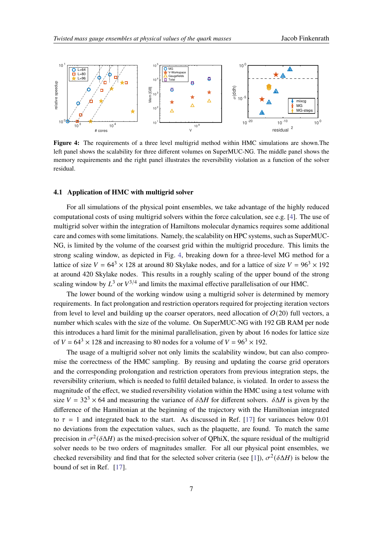<span id="page-6-0"></span>

**Figure 4:** The requirements of a three level multigrid method within HMC simulations are shown. The left panel shows the scalability for three different volumes on SuperMUC-NG. The middle panel shows the memory requirements and the right panel illustrates the reversibility violation as a function of the solver residual.

### **4.1 Application of HMC with multigrid solver**

For all simulations of the physical point ensembles, we take advantage of the highly reduced computational costs of using multigrid solvers within the force calculation, see e.g. [\[4\]](#page-10-1). The use of multigrid solver within the integration of Hamiltons molecular dynamics requires some additional care and comes with some limitations. Namely, the scalability on HPC systems, such as SuperMUC-NG, is limited by the volume of the coarsest grid within the multigrid procedure. This limits the strong scaling window, as depicted in Fig. [4,](#page-6-0) breaking down for a three-level MG method for a lattice of size  $V = 64^3 \times 128$  at around 80 Skylake nodes, and for a lattice of size  $V = 96^3 \times 192$ at around 420 Skylake nodes. This results in a roughly scaling of the upper bound of the strong scaling window by  $L^3$  or  $V^{3/4}$  and limits the maximal effective parallelisation of our HMC.

The lower bound of the working window using a multigrid solver is determined by memory requirements. In fact prolongation and restriction operators required for projecting iteration vectors from level to level and building up the coarser operators, need allocation of  $O(20)$  full vectors, a number which scales with the size of the volume. On SuperMUC-NG with 192 GB RAM per node this introduces a hard limit for the minimal parallelisation, given by about 16 nodes for lattice size of  $V = 64^3 \times 128$  and increasing to 80 nodes for a volume of  $V = 96^3 \times 192$ .

The usage of a multigrid solver not only limits the scalability window, but can also compromise the correctness of the HMC sampling. By reusing and updating the coarse grid operators and the corresponding prolongation and restriction operators from previous integration steps, the reversibility criterium, which is needed to fulfil detailed balance, is violated. In order to assess the magnitude of the effect, we studied reversibility violation within the HMC using a test volume with size  $V = 32<sup>3</sup> \times 64$  and measuring the variance of  $\delta \Delta H$  for different solvers.  $\delta \Delta H$  is given by the difference of the Hamiltonian at the beginning of the trajectory with the Hamiltonian integrated to  $\tau = 1$  and integrated back to the start. As discussed in Ref. [\[17\]](#page-10-12) for variances below 0.01 no deviations from the expectation values, such as the plaquette, are found. To match the same precision in  $\sigma^2(\delta \Delta H)$  as the mixed-precision solver of QPhiX, the square residual of the multigrid solver needs to be two orders of magnitudes smaller. For all our physical point ensembles, we checked reversibility and find that for the selected solver criteria (see [\[1\]](#page-9-0)),  $\sigma^2(\delta \Delta H)$  is below the bound of set in Ref. [\[17\]](#page-10-12).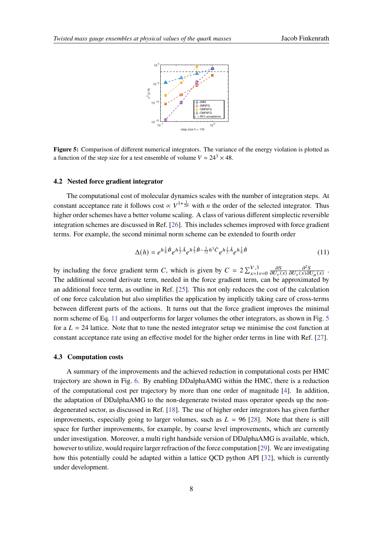<span id="page-7-0"></span>

**Figure 5:** Comparison of different numerical integrators. The variance of the energy violation is plotted as a function of the step size for a test ensemble of volume  $V = 24^3 \times 48$ .

# **4.2 Nested force gradient integrator**

The computational cost of molecular dynamics scales with the number of integration steps. At constant acceptance rate it follows cost  $\propto V^{1+\frac{1}{2n}}$  with *n* the order of the selected integrator. Thus higher order schemes have a better volume scaling. A class of various different simplectic reversible integration schemes are discussed in Ref. [\[26\]](#page-11-4). This includes schemes improved with force gradient terms. For example, the second minimal norm scheme can be extended to fourth order

$$
\Delta(h) = e^{h\frac{1}{6}\hat{B}}e^{h\frac{1}{2}\hat{A}}e^{h\frac{2}{3}\hat{B}-\frac{1}{72}h^3\hat{C}}e^{h\frac{1}{2}\hat{A}}e^{h\frac{1}{6}\hat{B}}
$$
(11)

by including the force gradient term C, which is given by  $C = 2\sum_{x=1}^{V,3} y = 0$  $\partial S$  $\overline{\partial U_\nu(x)}$  $\partial^2 S$  $\frac{\partial^2 S}{\partial U_{\nu}(x) \partial U_{\mu}(x)}$ . The additional second derivate term, needed in the force gradient term, can be approximated by an additional force term, as outline in Ref. [\[25\]](#page-11-5). This not only reduces the cost of the calculation of one force calculation but also simplifies the application by implicitly taking care of cross-terms between different parts of the actions. It turns out that the force gradient improves the minimal norm scheme of Eq. [11](#page-5-1) and outperforms for larger volumes the other integrators, as shown in Fig. [5](#page-7-0) for a  $L = 24$  lattice. Note that to tune the nested integrator setup we minimise the cost function at constant acceptance rate using an effective model for the higher order terms in line with Ref. [\[27\]](#page-11-6).

#### **4.3 Computation costs**

A summary of the improvements and the achieved reduction in computational costs per HMC trajectory are shown in Fig. [6.](#page-8-0) By enabling DDalphaAMG within the HMC, there is a reduction of the computational cost per trajectory by more than one order of magnitude [\[4\]](#page-10-1). In addition, the adaptation of DDalphaAMG to the non-degenerate twisted mass operator speeds up the nondegenerated sector, as discussed in Ref. [\[18\]](#page-11-1). The use of higher order integrators has given further improvements, especially going to larger volumes, such as  $L = 96$  [\[28\]](#page-11-7). Note that there is still space for further improvements, for example, by coarse level improvements, which are currently under investigation. Moreover, a multi right handside version of DDalphaAMG is available, which, however to utilize, would require larger refraction of the force computation [\[29\]](#page-11-8). We are investigating how this potentially could be adapted within a lattice QCD python API [\[32\]](#page-11-9), which is currently under development.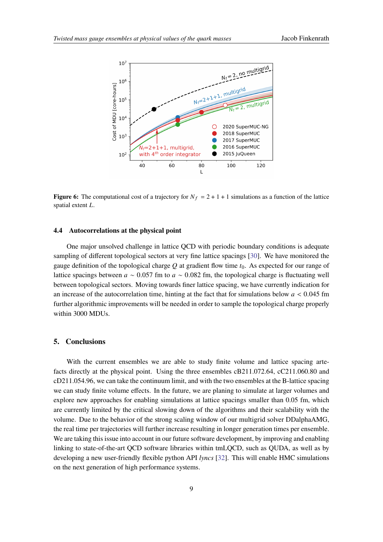<span id="page-8-0"></span>

**Figure 6:** The computational cost of a trajectory for  $N_f = 2 + 1 + 1$  simulations as a function of the lattice spatial extent  $L$ .

## **4.4 Autocorrelations at the physical point**

One major unsolved challenge in lattice QCD with periodic boundary conditions is adequate sampling of different topological sectors at very fine lattice spacings [\[30\]](#page-11-10). We have monitored the gauge definition of the topological charge  $Q$  at gradient flow time  $t_0$ . As expected for our range of lattice spacings between  $a \sim 0.057$  fm to  $a \sim 0.082$  fm, the topological charge is fluctuating well between topological sectors. Moving towards finer lattice spacing, we have currently indication for an increase of the autocorrelation time, hinting at the fact that for simulations below  $a < 0.045$  fm further algorithmic improvements will be needed in order to sample the topological charge properly within 3000 MDUs.

# **5. Conclusions**

With the current ensembles we are able to study finite volume and lattice spacing artefacts directly at the physical point. Using the three ensembles cB211.072.64, cC211.060.80 and cD211.054.96, we can take the continuum limit, and with the two ensembles at the B-lattice spacing we can study finite volume effects. In the future, we are planing to simulate at larger volumes and explore new approaches for enabling simulations at lattice spacings smaller than 0.05 fm, which are currently limited by the critical slowing down of the algorithms and their scalability with the volume. Due to the behavior of the strong scaling window of our multigrid solver DDalphaAMG, the real time per trajectories will further increase resulting in longer generation times per ensemble. We are taking this issue into account in our future software development, by improving and enabling linking to state-of-the-art QCD software libraries within tmLQCD, such as QUDA, as well as by developing a new user-friendly flexible python API *lyncs* [\[32\]](#page-11-9). This will enable HMC simulations on the next generation of high performance systems.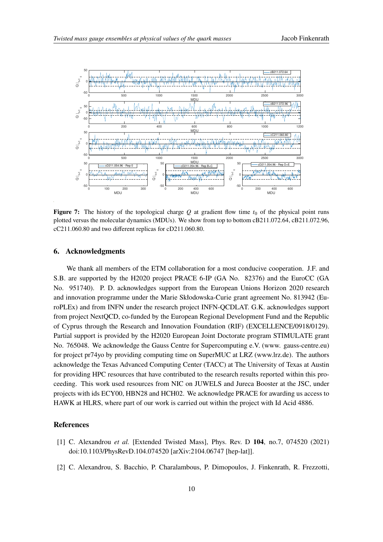

**Figure 7:** The history of the topological charge Q at gradient flow time  $t_0$  of the physical point runs plotted versus the molecular dynamics (MDUs). We show from top to bottom cB211.072.64, cB211.072.96, cC211.060.80 and two different replicas for cD211.060.80.

## **6. Acknowledgments**

We thank all members of the ETM collaboration for a most conducive cooperation. J.F. and S.B. are supported by the H2020 project PRACE 6-IP (GA No. 82376) and the EuroCC (GA No. 951740). P. D. acknowledges support from the European Unions Horizon 2020 research and innovation programme under the Marie Skłodowska-Curie grant agreement No. 813942 (EuroPLEx) and from INFN under the research project INFN-QCDLAT. G.K. acknowledges support from project NextQCD, co-funded by the European Regional Development Fund and the Republic of Cyprus through the Research and Innovation Foundation (RIF) (EXCELLENCE/0918/0129). Partial support is provided by the H2020 European Joint Doctorate program STIMULATE grant No. 765048. We acknowledge the Gauss Centre for Supercomputing e.V. (www. gauss-centre.eu) for project pr74yo by providing computing time on SuperMUC at LRZ (www.lrz.de). The authors acknowledge the Texas Advanced Computing Center (TACC) at The University of Texas at Austin for providing HPC resources that have contributed to the research results reported within this proceeding. This work used resources from NIC on JUWELS and Jureca Booster at the JSC, under projects with ids ECY00, HBN28 and HCH02. We acknowledge PRACE for awarding us access to HAWK at HLRS, where part of our work is carried out within the project with Id Acid 4886.

#### **References**

- <span id="page-9-0"></span>[1] C. Alexandrou *et al.* [Extended Twisted Mass], Phys. Rev. D **104**, no.7, 074520 (2021) doi:10.1103/PhysRevD.104.074520 [arXiv:2104.06747 [hep-lat]].
- <span id="page-9-1"></span>[2] C. Alexandrou, S. Bacchio, P. Charalambous, P. Dimopoulos, J. Finkenrath, R. Frezzotti,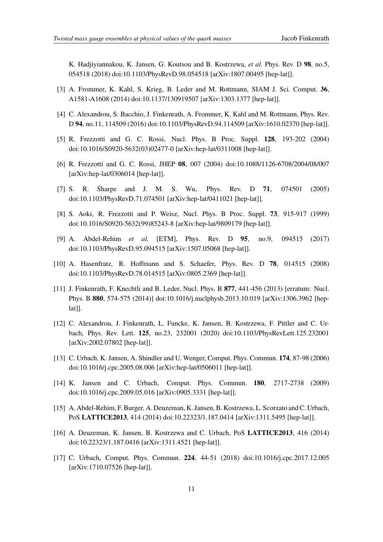K. Hadjiyiannakou, K. Jansen, G. Koutsou and B. Kostrzewa, *et al.* Phys. Rev. D **98**, no.5, 054518 (2018) doi:10.1103/PhysRevD.98.054518 [arXiv:1807.00495 [hep-lat]].

- <span id="page-10-0"></span>[3] A. Frommer, K. Kahl, S. Krieg, B. Leder and M. Rottmann, SIAM J. Sci. Comput. **36**, A1581-A1608 (2014) doi:10.1137/130919507 [arXiv:1303.1377 [hep-lat]].
- <span id="page-10-1"></span>[4] C. Alexandrou, S. Bacchio, J. Finkenrath, A. Frommer, K. Kahl and M. Rottmann, Phys. Rev. D **94**, no.11, 114509 (2016) doi:10.1103/PhysRevD.94.114509 [arXiv:1610.02370 [hep-lat]].
- <span id="page-10-2"></span>[5] R. Frezzotti and G. C. Rossi, Nucl. Phys. B Proc. Suppl. **128**, 193-202 (2004) doi:10.1016/S0920-5632(03)02477-0 [arXiv:hep-lat/0311008 [hep-lat]].
- <span id="page-10-3"></span>[6] R. Frezzotti and G. C. Rossi, JHEP **08**, 007 (2004) doi:10.1088/1126-6708/2004/08/007 [arXiv:hep-lat/0306014 [hep-lat]].
- <span id="page-10-4"></span>[7] S. R. Sharpe and J. M. S. Wu, Phys. Rev. D **71**, 074501 (2005) doi:10.1103/PhysRevD.71.074501 [arXiv:hep-lat/0411021 [hep-lat]].
- <span id="page-10-6"></span>[8] S. Aoki, R. Frezzotti and P. Weisz, Nucl. Phys. B Proc. Suppl. **73**, 915-917 (1999) doi:10.1016/S0920-5632(99)85243-8 [arXiv:hep-lat/9809179 [hep-lat]].
- <span id="page-10-5"></span>[9] A. Abdel-Rehim *et al.* [ETM], Phys. Rev. D **95**, no.9, 094515 (2017) doi:10.1103/PhysRevD.95.094515 [arXiv:1507.05068 [hep-lat]].
- <span id="page-10-7"></span>[10] A. Hasenfratz, R. Hoffmann and S. Schaefer, Phys. Rev. D **78**, 014515 (2008) doi:10.1103/PhysRevD.78.014515 [arXiv:0805.2369 [hep-lat]].
- [11] J. Finkenrath, F. Knechtli and B. Leder, Nucl. Phys. B **877**, 441-456 (2013) [erratum: Nucl. Phys. B **880**, 574-575 (2014)] doi:10.1016/j.nuclphysb.2013.10.019 [arXiv:1306.3962 [hep $lat$ ].
- <span id="page-10-8"></span>[12] C. Alexandrou, J. Finkenrath, L. Funcke, K. Jansen, B. Kostrzewa, F. Pittler and C. Urbach, Phys. Rev. Lett. **125**, no.23, 232001 (2020) doi:10.1103/PhysRevLett.125.232001 [arXiv:2002.07802 [hep-lat]].
- <span id="page-10-11"></span>[13] C. Urbach, K. Jansen, A. Shindler and U. Wenger, Comput. Phys. Commun. **174**, 87-98 (2006) doi:10.1016/j.cpc.2005.08.006 [arXiv:hep-lat/0506011 [hep-lat]].
- <span id="page-10-9"></span>[14] K. Jansen and C. Urbach, Comput. Phys. Commun. **180**, 2717-2738 (2009) doi:10.1016/j.cpc.2009.05.016 [arXiv:0905.3331 [hep-lat]].
- [15] A. Abdel-Rehim, F. Burger, A. Deuzeman, K. Jansen, B. Kostrzewa, L. Scorzato and C. Urbach, PoS **LATTICE2013**, 414 (2014) doi:10.22323/1.187.0414 [arXiv:1311.5495 [hep-lat]].
- <span id="page-10-10"></span>[16] A. Deuzeman, K. Jansen, B. Kostrzewa and C. Urbach, PoS **LATTICE2013**, 416 (2014) doi:10.22323/1.187.0416 [arXiv:1311.4521 [hep-lat]].
- <span id="page-10-12"></span>[17] C. Urbach, Comput. Phys. Commun. **224**, 44-51 (2018) doi:10.1016/j.cpc.2017.12.005 [arXiv:1710.07526 [hep-lat]].